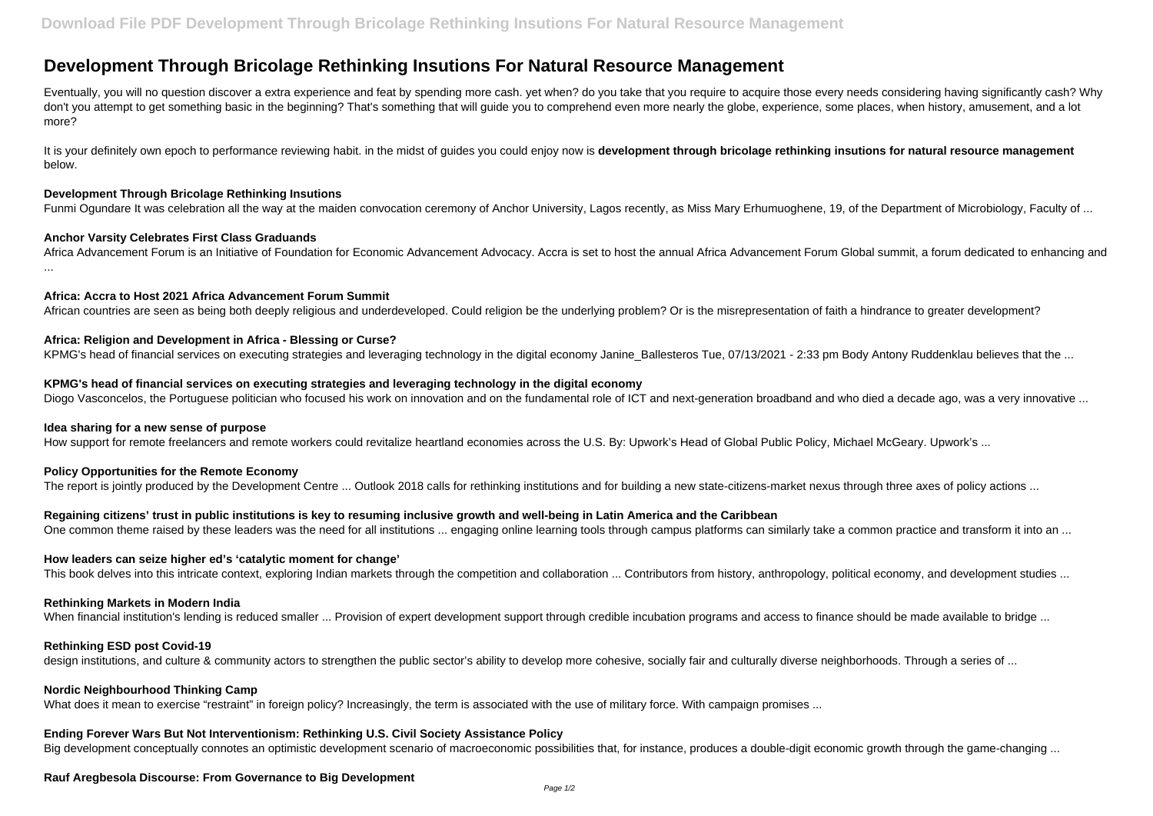# **Development Through Bricolage Rethinking Insutions For Natural Resource Management**

Eventually, you will no question discover a extra experience and feat by spending more cash. yet when? do you take that you require to acquire those every needs considering having significantly cash? Why don't you attempt to get something basic in the beginning? That's something that will guide you to comprehend even more nearly the globe, experience, some places, when history, amusement, and a lot more?

It is your definitely own epoch to performance reviewing habit. in the midst of guides you could enjoy now is development through bricolage rethinking insutions for natural resource management below.

#### **Development Through Bricolage Rethinking Insutions**

Funmi Ogundare It was celebration all the way at the maiden convocation ceremony of Anchor University, Lagos recently, as Miss Mary Erhumuoghene, 19, of the Department of Microbiology, Faculty of ...

### **Anchor Varsity Celebrates First Class Graduands**

Africa Advancement Forum is an Initiative of Foundation for Economic Advancement Advocacy. Accra is set to host the annual Africa Advancement Forum Global summit, a forum dedicated to enhancing and ...

### **Africa: Accra to Host 2021 Africa Advancement Forum Summit**

African countries are seen as being both deeply religious and underdeveloped. Could religion be the underlying problem? Or is the misrepresentation of faith a hindrance to greater development?

### **Africa: Religion and Development in Africa - Blessing or Curse?**

KPMG's head of financial services on executing strategies and leveraging technology in the digital economy Janine Ballesteros Tue, 07/13/2021 - 2:33 pm Body Antony Ruddenklau believes that the ...

#### **KPMG's head of financial services on executing strategies and leveraging technology in the digital economy**

Diogo Vasconcelos, the Portuguese politician who focused his work on innovation and on the fundamental role of ICT and next-generation broadband and who died a decade ago, was a very innovative ...

#### **Idea sharing for a new sense of purpose**

How support for remote freelancers and remote workers could revitalize heartland economies across the U.S. By: Upwork's Head of Global Public Policy, Michael McGeary, Upwork's ...

# **Policy Opportunities for the Remote Economy**

The report is jointly produced by the Development Centre ... Outlook 2018 calls for rethinking institutions and for building a new state-citizens-market nexus through three axes of policy actions ...

#### **Regaining citizens' trust in public institutions is key to resuming inclusive growth and well-being in Latin America and the Caribbean**

One common theme raised by these leaders was the need for all institutions ... engaging online learning tools through campus platforms can similarly take a common practice and transform it into an ...

#### **How leaders can seize higher ed's 'catalytic moment for change'**

This book delves into this intricate context, exploring Indian markets through the competition and collaboration ... Contributors from history, anthropology, political economy, and development studies ...

#### **Rethinking Markets in Modern India**

When financial institution's lending is reduced smaller ... Provision of expert development support through credible incubation programs and access to finance should be made available to bridge ...

#### **Rethinking ESD post Covid-19**

design institutions, and culture & community actors to strengthen the public sector's ability to develop more cohesive, socially fair and culturally diverse neighborhoods. Through a series of ...

#### **Nordic Neighbourhood Thinking Camp**

What does it mean to exercise "restraint" in foreign policy? Increasingly, the term is associated with the use of military force. With campaign promises ...

#### **Ending Forever Wars But Not Interventionism: Rethinking U.S. Civil Society Assistance Policy**

Big development conceptually connotes an optimistic development scenario of macroeconomic possibilities that, for instance, produces a double-digit economic growth through the game-changing ...

# **Rauf Aregbesola Discourse: From Governance to Big Development**